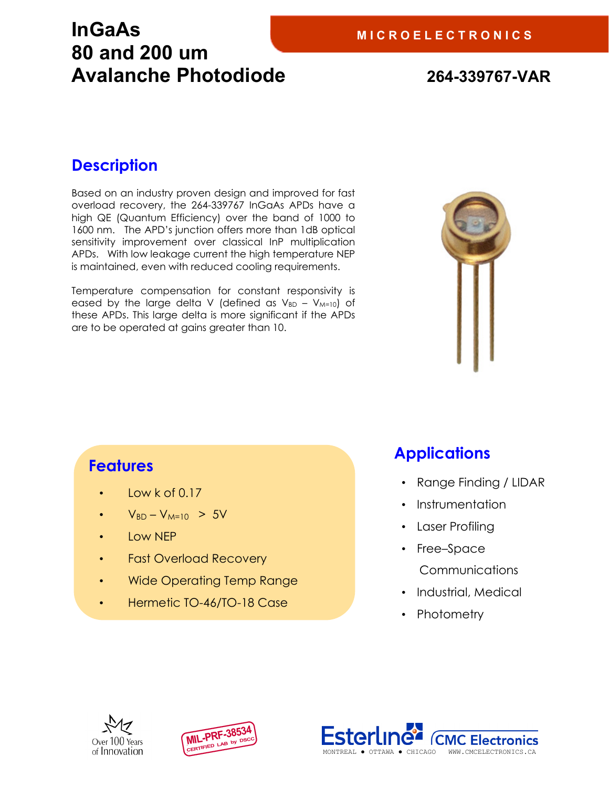### **InGaAs 80 and 200 um Avalanche Photodiode 264-339767-VAR**

#### **Description**

Based on an industry proven design and improved for fast overload recovery, the 264-339767 InGaAs APDs have a high QE (Quantum Efficiency) over the band of 1000 to 1600 nm. The APD's junction offers more than 1dB optical sensitivity improvement over classical InP multiplication APDs. With low leakage current the high temperature NEP is maintained, even with reduced cooling requirements.

Temperature compensation for constant responsivity is eased by the large delta V (defined as  $V_{BD} - V_{M=10}$ ) of these APDs. This large delta is more significant if the APDs are to be operated at gains greater than 10.



#### **Features**

- Low  $k$  of 0.17
- $V_{BD} V_{M=10} > 5V$
- Low NEP
- Fast Overload Recovery
- Wide Operating Temp Range
- Hermetic TO-46/TO-18 Case

### **Applications**

- Range Finding / LIDAR
- Instrumentation
- Laser Profiling
- Free–Space
	- Communications
- Industrial, Medical
- Photometry





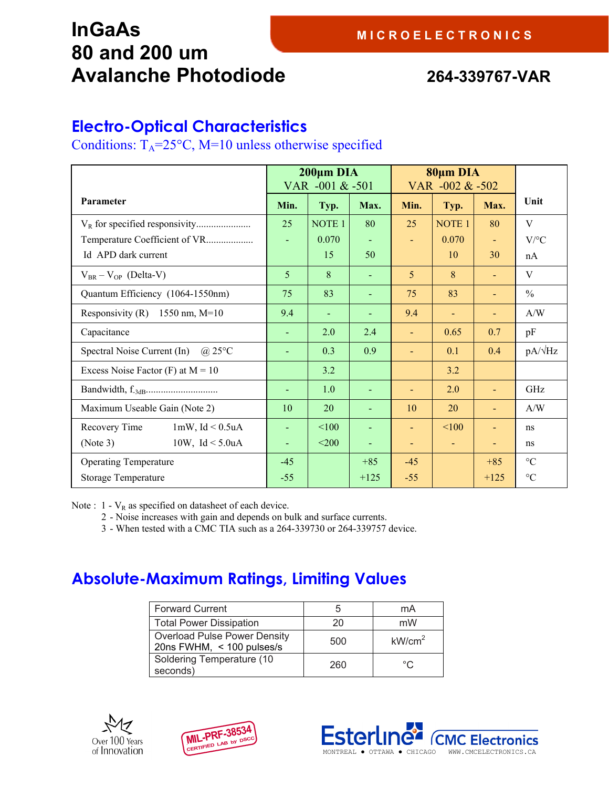### **InGaAs 80 and 200 um Avalanche Photodiode 264-339767-VAR**

#### **Electro-Optical Characteristics**

Conditions:  $T_A = 25^{\circ}C$ , M=10 unless otherwise specified

|                                              | $200 \mu m$ DIA<br>VAR -001 & -501 |                   | 80μm DIA<br>VAR -002 & -502 |                |                              |        |                 |
|----------------------------------------------|------------------------------------|-------------------|-----------------------------|----------------|------------------------------|--------|-----------------|
| Parameter                                    | Min.                               | Typ.              | Max.                        | Min.           | Typ.                         | Max.   | Unit            |
|                                              | 25                                 | NOTE <sub>1</sub> | 80                          | 25             | <b>NOTE 1</b>                | 80     | V               |
| Temperature Coefficient of VR                |                                    | 0.070             |                             | ä,             | 0.070                        |        | $V$ /°C         |
| Id APD dark current                          |                                    | 15                | 50                          |                | 10                           | 30     | nA              |
| $V_{BR} - V_{OP}$ (Delta-V)                  | 5                                  | 8                 |                             | 5              | 8                            |        | V               |
| Quantum Efficiency (1064-1550nm)             | 75                                 | 83                |                             | 75             | 83                           |        | $\frac{0}{0}$   |
| Responsivity (R) $1550$ nm, M=10             | 9.4                                | $\blacksquare$    | $\blacksquare$              | 9.4            | $\blacksquare$               |        | A/W             |
| Capacitance                                  |                                    | 2.0               | 2.4                         |                | 0.65                         | 0.7    | pF              |
| Spectral Noise Current (In)<br>$\omega$ 25°C |                                    | 0.3               | 0.9                         |                | 0.1                          | 0.4    | $pA/\sqrt{Hz}$  |
| Excess Noise Factor $(F)$ at $M = 10$        |                                    | 3.2               |                             |                | 3.2                          |        |                 |
|                                              |                                    | 1.0               |                             |                | 2.0                          |        | GHz             |
| Maximum Useable Gain (Note 2)                | 10                                 | 20                | $\blacksquare$              | 10             | 20                           |        | A/W             |
| $1mW$ , $Id < 0.5uA$<br>Recovery Time        |                                    | < 100             |                             | u,             | $\leq 100$                   |        | ns              |
| 10W, $Id < 5.0uA$<br>(Note 3)                | $\blacksquare$                     | < 200             | $\blacksquare$              | $\blacksquare$ | $\qquad \qquad \blacksquare$ |        | ns              |
| <b>Operating Temperature</b>                 | $-45$                              |                   | $+85$                       | $-45$          |                              | $+85$  | $\rm ^{\circ}C$ |
| <b>Storage Temperature</b>                   | $-55$                              |                   | $+125$                      | $-55$          |                              | $+125$ | $\rm ^{\circ}C$ |

Note :  $1 - V_R$  as specified on datasheet of each device.

- 2 Noise increases with gain and depends on bulk and surface currents.
- 3 When tested with a CMC TIA such as a 264-339730 or 264-339757 device.

#### **Absolute-Maximum Ratings, Limiting Values**

| <b>Forward Current</b>                                           | b   | mA                 |
|------------------------------------------------------------------|-----|--------------------|
| <b>Total Power Dissipation</b>                                   | 20  | mW                 |
| <b>Overload Pulse Power Density</b><br>20ns FWHM, < 100 pulses/s | 500 | kW/cm <sup>2</sup> |
| Soldering Temperature (10<br>seconds)                            | 260 | °C                 |





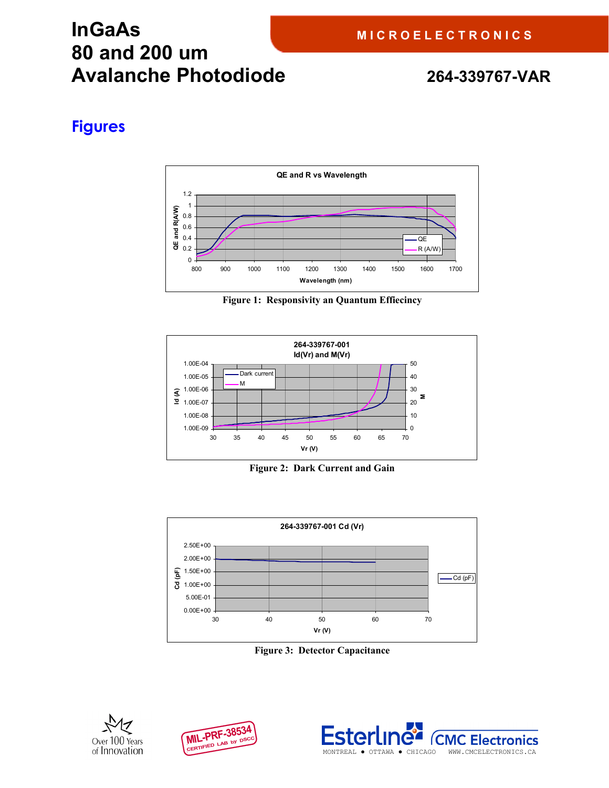## **InGaAs 80 and 200 um Avalanche Photodiode 264-339767-VAR**

#### **Figures**



**Figure 1: Responsivity an Quantum Effiecincy** 



**Figure 2: Dark Current and Gain** 



**Figure 3: Detector Capacitance**